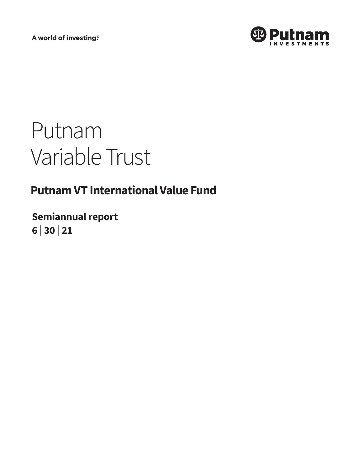A world of investing®



# Putnam Variable Trust

# **Putnam VT International Value Fund**

**Semiannual report 6 <sup>|</sup> 30 <sup>|</sup> 21**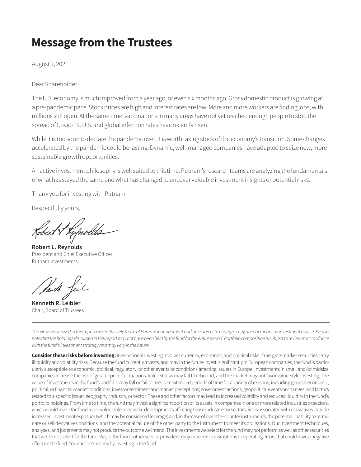# **Message from the Trustees**

August 9, 2021

Dear Shareholder:

The U.S. economy is much improved from a year ago, or even six months ago. Gross domestic product is growing at a pre-pandemic pace. Stock prices are high and interest rates are low. More and more workers are finding jobs, with millions still open. At the same time, vaccinations in many areas have not yet reached enough people to stop the spread of Covid-19. U.S. and global infection rates have recently risen.

While it is too soon to declare the pandemic over, it is worth taking stock of the economy's transition. Some changes accelerated by the pandemic could be lasting. Dynamic, well-managed companies have adapted to seize new, more sustainable growth opportunities.

An active investment philosophy is well suited to this time. Putnam's research teams are analyzing the fundamentals of what has stayed the same and what has changed to uncover valuable investment insights or potential risks.

Thank you for investing with Putnam.

Respectfully yours,

**Robert L. Reynolds** President and Chief Executive Officer Putnam Investments

**Kenneth R. Leibler** Chair, Board of Trustees

*The views expressed in this report are exclusively those of Putnam Management and are subject to change. They are not meant as investment advice. Please note that the holdings discussed in this report may not have been held by the fund for the entire period. Portfolio composition is subject to review in accordance with the fund's investment strategy and may vary in the future.*

**Consider these risks before investing:** International investing involves currency, economic, and political risks. Emerging-market securities carry illiquidity and volatility risks. Because the fund currently invests, and may in the future invest, significantly in European companies, the fund is particularly susceptible to economic, political, regulatory, or other events or conditions affecting issuers in Europe. Investments in small and/or midsize companies increase the risk of greater price fluctuations. Value stocks may fail to rebound, and the market may not favor value-style investing. The value of investments in the fund's portfolio may fall or fail to rise over extended periods of time for a variety of reasons, including general economic, political, or financial market conditions; investor sentiment and market perceptions; government actions; geopolitical events or changes; and factors related to a specific issuer, geography, industry, or sector. These and other factors may lead to increased volatility and reduced liquidity in the fund's portfolio holdings. From time to time, the fund may invest a significant portion of its assets in companies in one or more related industries or sectors, which would make the fund more vulnerable to adverse developments affecting those industries or sectors. Risks associated with derivatives include increased investment exposure (which may be considered leverage) and, in the case of over-the-counter instruments, the potential inability to terminate or sell derivatives positions, and the potential failure of the other party to the instrument to meet its obligations. Our investment techniques, analyses, and judgments may not produce the outcome we intend. The investments we select for the fund may not perform as well as other securities that we do not select for the fund. We, or the fund's other service providers, may experience disruptions or operating errors that could have a negative effect on the fund. You can lose money by investing in the fund.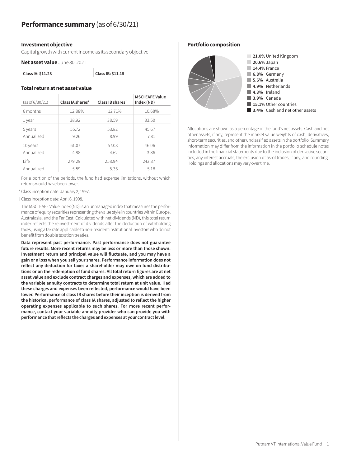#### **Investment objective**

Capital growth with current income as its secondary objective

**Net asset value** June 30, 2021

| Class IA: \$11.28 | $\vert$ Class IB: $$11.15$ |
|-------------------|----------------------------|
|                   |                            |

#### **Total return at net asset value**

| (as of 6/30/21) | Class IA shares* | Class IB shares <sup>t</sup> | <b>MSCI FAFF Value</b><br>Index (ND) |
|-----------------|------------------|------------------------------|--------------------------------------|
| 6 months        | 12.88%           | 12.71%                       | 10.68%                               |
| 1 year          | 38.92            | 38.59                        | 33.50                                |
| 5 years         | 55.72            | 53.82                        | 45.67                                |
| Annualized      | 9.26             | 8.99                         | 7.81                                 |
| 10 years        | 61.07            | 57.08                        | 46.06                                |
| Annualized      | 4.88             | 4.62                         | 3.86                                 |
| l ife           | 279.29           | 258.94                       | 243.37                               |
| Annualized      | 5.59             | 5.36                         | 5.18                                 |

For a portion of the periods, the fund had expense limitations, without which returns would have been lower.

\*Class inception date: January 2, 1997.

#### †Class inception date: April 6, 1998.

The MSCI EAFE Value Index (ND) is an unmanaged index that measures the performance of equity securities representing the value style in countries within Europe, Australasia, and the Far East. Calculated with net dividends (ND), this total return index reflects the reinvestment of dividends after the deduction of withholding taxes, using a tax rate applicable to non-resident institutional investors who do not benefit from double taxation treaties.

**Data represent past performance. Past performance does not guarantee future results. More recent returns may be less or more than those shown. Investment return and principal value will fluctuate, and you may have a gain or a loss when you sell your shares. Performance information does not reflect any deduction for taxes a shareholder may owe on fund distributions or on the redemption of fund shares. All total return figures are at net asset value and exclude contract charges and expenses, which are added to the variable annuity contracts to determine total return at unit value. Had these charges and expenses been reflected, performance would have been lower. Performance of class IB shares before their inception is derived from the historical performance of class IA shares, adjusted to reflect the higher operating expenses applicable to such shares. For more recent performance, contact your variable annuity provider who can provide you with performance that reflects the charges and expenses at your contract level.**

#### **Portfolio composition**



Allocations are shown as a percentage of the fund's net assets. Cash and net other assets, if any, represent the market value weights of cash, derivatives, short-term securities, and other unclassified assets in the portfolio. Summary information may differ from the information in the portfolio schedule notes included in the financial statements due to the inclusion of derivative securities, any interest accruals, the exclusion of as-of trades, if any, and rounding. Holdings and allocations may vary over time.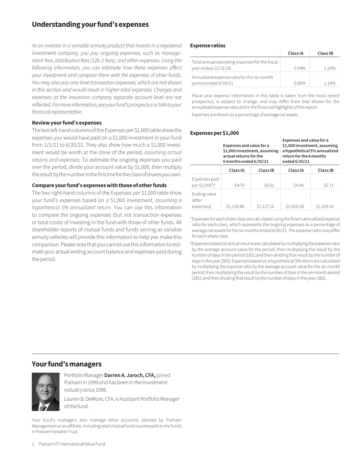# **Understanding your fund's expenses**

*As an investor in a variable annuity product that invests in a registered investment company, you pay ongoing expenses, such as management fees, distribution fees (12b-1 fees), and other expenses. Using the following information, you can estimate how these expenses affect your investment and compare them with the expenses of other funds. You may also pay one-time transaction expenses, which are not shown in this section and would result in higher total expenses. Charges and*  expenses at the insurance company separate account level are not *reflected. For more information, see your fund's prospectus or talk to your financial representative.*

#### **Review your fund's expenses**

The two left-hand columns of the Expenses per \$1,000 table show the expenses you would have paid on a \$1,000 investment in your fund from  $1/1/21$  to  $6/30/21$ . They also show how much a \$1,000 investment would be worth at the close of the period, *assuming actual returns and expenses.* To estimate the ongoing expenses you paid over the period, divide your account value by \$1,000, then multiply the result by the number in the first line for the class of shares you own.

#### **Compare your fund's expenses with those of other funds**

The two right-hand columns of the Expenses per \$1,000 table show your fund's expenses based on a \$1,000 investment, *assuming a hypothetical 5% annualized return.* You can use this information to compare the ongoing expenses (but not transaction expenses or total costs) of investing in the fund with those of other funds. All shareholder reports of mutual funds and funds serving as variable annuity vehicles will provide this information to help you make this comparison. Please note that you cannot use this information to estimate your actual ending account balance and expenses paid during the period.

#### **Expense ratios**

|                                                                       | Class IA | Class IB |
|-----------------------------------------------------------------------|----------|----------|
| Total annual operating expenses for the fiscal<br>year ended 12/31/20 | 0.94%    | 119%     |
| Annualized expense ratio for the six-month<br>period ended 6/30/21    | 0.89%    | 1 14%    |

Fiscal year expense information in this table is taken from the most recent prospectus, is subject to change, and may differ from that shown for the annualized expense ratio and in the financial highlights of this report.

Expenses are shown as a percentage of average net assets.

#### **Expenses per \$1,000**

|                                     | Expenses and value for a<br>\$1,000 investment, assuming<br>actual returns for the<br>6 months ended 6/30/21 |            | Expenses and value for a<br>return for the 6 months<br>ended 6/30/21 | \$1,000 investment, assuming<br>a hypothetical 5% annualized |
|-------------------------------------|--------------------------------------------------------------------------------------------------------------|------------|----------------------------------------------------------------------|--------------------------------------------------------------|
|                                     | Class IA                                                                                                     | Class IB   | Class IA                                                             | Class IB                                                     |
| Expenses paid<br>per \$1,000*†      | \$4.70                                                                                                       | \$6.01     | \$4.46                                                               | \$5.71                                                       |
| Ending value<br>(after<br>expenses) | \$1,128.80                                                                                                   | \$1,127.10 | \$1,020.38                                                           | \$1,019.14                                                   |

\*Expenses for each share class are calculated using the fund's annualized expense ratio for each class, which represents the ongoing expenses as a percentage of average net assets for the six months ended 6/30/21. The expense ratio may differ for each share class.

†Expenses based on actual returns are calculated by multiplying the expense ratio by the average account value for the period; then multiplying the result by the number of days in the period (181); and then dividing that result by the number of days in the year (365). Expenses based on a hypothetical 5% return are calculated by multiplying the expense ratio by the average account value for the six-month period; then multiplying the result by the number of days in the six-month period (181); and then dividing that result by the number of days in the year (365).

### **Your fund's managers**



Portfolio Manager **Darren A. Jaroch, CFA,** joined Putnam in 1999 and has been in the investment industry since 1996.

Lauren B. DeMore, CFA, is Assistant Portfolio Manager of the fund.

Your fund's managers also manage other accounts advised by Putnam Management or an affiliate, including retail mutual fund counterparts to the funds in Putnam Variable Trust.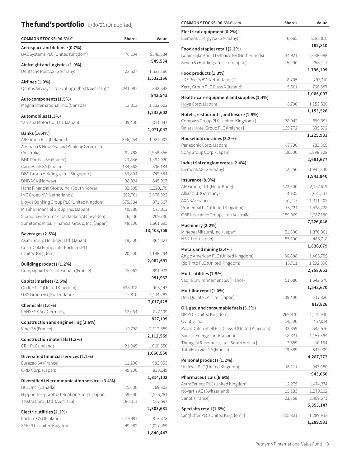# **The fund's portfolio** 6/30/21 (Unaudited) **COMMON STOCKS (96.6%)**\* *cont.* Shares Value

| COMMON STOCKS (96.6%)*                                                   | <b>Shares</b>    | Value              |
|--------------------------------------------------------------------------|------------------|--------------------|
| Aerospace and defense (0.7%)                                             |                  |                    |
| BAE Systems PLC (United Kingdom)                                         | 76,104           | \$549,534          |
| Air freight and logistics (1.9%)                                         |                  | 549,534            |
| Deutsche Post AG (Germany)                                               | 22,527           | 1,532,166          |
|                                                                          |                  | 1,532,166          |
| Airlines (1.0%)                                                          |                  |                    |
| Qantas Airways, Ltd. (voting rights) (Australia) †                       | 241,087          | 842,543<br>842,543 |
| Auto components (1.5%)                                                   |                  |                    |
| Magna International, Inc. (Canada)                                       | 13,313           | 1,232,602          |
| Automobiles (1.3%)                                                       |                  | 1,232,602          |
| Yamaha Motor Co., Ltd. (Japan)                                           | 39,400           | 1,071,047          |
|                                                                          |                  | 1,071,047          |
| Banks (16.4%)<br>AIB Group PLC (Ireland) †                               | 396,254          | 1,021,002          |
| Australia & New Zealand Banking Group, Ltd.                              |                  |                    |
| (Australia)                                                              | 92,788           | 1,958,856          |
| BNP Paribas SA (France)                                                  | 23,846           | 1,494,920          |
| CaixaBank SA (Spain)                                                     | 164,568          | 506,184            |
| DBS Group Holdings, Ltd. (Singapore)                                     | 33,804           | 749,384            |
| DNB ASA (Norway)                                                         | 38,824           | 845,907            |
| Hana Financial Group, Inc. (South Korea)                                 | 32,505           | 1,329,179          |
| ING Groep NV (Netherlands)                                               | 202,761          | 2,678,322          |
| Lloyds Banking Group PLC (United Kingdom)                                | 575,304          | 371,567            |
| Mizuho Financial Group, Inc. (Japan)                                     | 40,380           | 577,013            |
| Skandinaviska Enskilda Banken AB (Sweden)                                | 16,236           | 209,730            |
| Sumitomo Mitsui Financial Group, Inc. (Japan)                            | 48,200           | 1,661,695          |
|                                                                          |                  | 13,403,759         |
| Beverages (2.5%)                                                         |                  |                    |
| Asahi Group Holdings, Ltd. (Japan)<br>Coca-Cola Europacific Partners PLC | 18,500           | 864,427            |
| (United Kingdom)                                                         | 20,200           | 1,198,264          |
|                                                                          |                  | 2,062,691          |
| Building products (1.2%)                                                 |                  |                    |
| Compagnie De Saint-Gobain (France)                                       | 15,062           | 991,932            |
| Capital markets (2.5%)                                                   |                  | 991,932            |
| Quilter PLC (United Kingdom)                                             | 438,918          | 903,143            |
| UBS Group AG (Switzerland)                                               | 72,810           | 1,114,282          |
| Chemicals (1.0%)                                                         |                  | 2,017,425          |
| LANXESS AG (Germany)                                                     | 12,064           | 827,109            |
|                                                                          |                  | 827,109            |
| Construction and engineering (2.6%)                                      |                  |                    |
| Vinci SA (France)                                                        | 19,798           | 2,112,559          |
| Construction materials (1.3%)                                            |                  | 2,112,559          |
| CRH PLC (Ireland)                                                        | 21,045           | 1,060,550          |
|                                                                          |                  | 1,060,550          |
| Diversified financial services (2.2%)<br>Eurazeo SA (France)             |                  | 983,953            |
| ORIX Corp. (Japan)                                                       | 11,290<br>49,200 | 830,149            |
|                                                                          |                  | 1,814,102          |
| Diversified telecommunication services (3.4%)                            |                  |                    |
| BCE, Inc. (Canada)                                                       | 15,600           | 769,303            |
| Nippon Telegraph & Telephone Corp. (Japan)                               | 58,600           | 1,526,781          |
| Telstra Corp., Ltd. (Australia)                                          | 180,011          | 507,597            |
| Electric utilities (2.2%)                                                |                  | 2,803,681          |
| Fortum OYJ (Finland)                                                     | 29,491           | 813,378            |
| SSE PLC (United Kingdom)                                                 | 49,482           | 1,027,069          |
|                                                                          |                  | 1,840,447          |

| common a rocha (au.o /u/ cunc                           |                   |                        |
|---------------------------------------------------------|-------------------|------------------------|
| Electrical equipment (0.2%)                             |                   |                        |
| Siemens Energy AG (Germany) †                           | 6,065             | \$182,810              |
| Food and staples retail (2.2%)                          |                   | 182,810                |
| Koninklijke Ahold Delhaize NV (Netherlands)             | 34,921            | 1,038,088              |
| Seven & i Holdings Co., Ltd. (Japan)                    | 15,900            | 758,111                |
|                                                         |                   | 1,796,199              |
| Food products (1.3%)<br>JDE Peet's BV (Netherlands) †   | 8,205             | 297,710                |
| Kerry Group PLC Class A (Ireland)                       | 5,501             | 768,387                |
|                                                         |                   | 1,066,097              |
| Health-care equipment and supplies (1.4%)               |                   |                        |
| Hoya Corp. (Japan)                                      | 8,700             | 1,153,526              |
| Hotels, restaurants, and leisure (1.5%)                 |                   | 1,153,526              |
| Compass Group PLC (United Kingdom) †                    | 28,042            | 590,391                |
| Dalata Hotel Group PLC (Ireland) †                      | 139,772           | 635,592                |
| Household durables (3.3%)                               |                   | 1,225,983              |
| Panasonic Corp. (Japan)                                 | 67,700            | 783,369                |
| Sony Group Corp. (Japan)                                | 19,500            | 1,898,308              |
|                                                         |                   | 2,681,677              |
| Industrial conglomerates (2.4%)<br>Siemens AG (Germany) | 12,256            | 1,941,840              |
|                                                         |                   | 1,941,840              |
| Insurance (8.9%)                                        |                   |                        |
| AIA Group, Ltd. (Hong Kong)                             | 173,600           | 2,157,619              |
| Allianz SE (Germany)                                    | 4,135             | 1,031,117              |
| AXA SA (France)<br>Prudential PLC (United Kingdom)      | 51,717            | 1,311,402              |
| QBE Insurance Group, Ltd. (Australia)                   | 75,724<br>159,069 | 1,438,728              |
|                                                         |                   | 1,287,180<br>7,226,046 |
| Machinery (2.2%)                                        |                   |                        |
| MinebeaMitsumi, Inc. (Japan)                            | 51,800            | 1,370,361              |
| NSK, Ltd. (Japan)                                       | 55,100            | 465,718                |
| Metals and mining (3.4%)                                |                   | 1,836,079              |
| Anglo American PLC (United Kingdom)                     | 36,888            | 1,465,755              |
| Rio Tinto PLC (United Kingdom)                          | 15,711            | 1,292,898              |
| Multi-utilities (1.9%)                                  |                   | 2,758,653              |
| Veolia Environnement SA (France)                        | 51,080            | 1,542,670              |
|                                                         |                   | 1,542,670              |
| Multiline retail (1.0%)                                 |                   |                        |
| Don Quijote Co., Ltd. (Japan)                           | 39,400            | 817,826<br>817,826     |
| Oil, gas, and consumable fuels (5.3%)                   |                   |                        |
| BP PLC (United Kingdom)                                 | 269,870           | 1,175,930              |
| Ovintiv, Inc.                                           | 14,500            | 457,014                |
| Royal Dutch Shell PLC Class B (United Kingdom)          | 33,359            | 645,576                |
| Suncor Energy, Inc. (Canada)                            | 48,331            | 1,157,589              |
| Thungela Resources, Ltd. (South Africa) †               | 3,689             | 10,154                 |
| TotalEnergies SA (France)                               | 18,589            | 841,009                |
| Personal products (1.2%)                                |                   | 4,287,272              |
| Unilever PLC (United Kingdom)                           | 16,111            | 943,050                |
| Pharmaceuticals (6.6%)                                  |                   | 943,050                |
| AstraZeneca PLC (United Kingdom)                        | 12,275            | 1,474,374              |
| Novartis AG (Switzerland)                               | 15,133            | 1,379,102              |
| Sanofi (France)                                         | 23,858            | 2,499,671              |
| Specialty retail (1.6%)                                 |                   | 5,353,147              |
| Kingfisher PLC (United Kingdom) †                       | 255,831           | 1,289,933              |
|                                                         |                   | 1,289,933              |
|                                                         |                   |                        |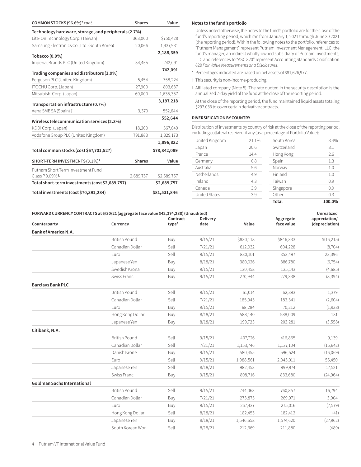| COMMON STOCKS (96.6%)* cont.                         | <b>Shares</b> | Value        |
|------------------------------------------------------|---------------|--------------|
| Technology hardware, storage, and peripherals (2.7%) |               |              |
| Lite-On Technology Corp. (Taiwan)                    | 363,000       | \$750,428    |
| Samsung Electronics Co., Ltd. (South Korea)          | 20,066        | 1,437,931    |
| Tobacco (0.9%)                                       |               | 2,188,359    |
| Imperial Brands PLC (United Kingdom)                 | 34,455        | 742,091      |
| Trading companies and distributors (3.9%)            |               | 742,091      |
| Ferguson PLC (United Kingdom)                        | 5,454         | 758,224      |
| ITOCHU Corp. (Japan)                                 | 27,900        | 803,637      |
| Mitsubishi Corp. (Japan)                             | 60,000        | 1,635,357    |
| Transportation infrastructure (0.7%)                 |               | 3,197,218    |
| Aena SME SA (Spain) †                                | 3,370         | 552,644      |
| Wireless telecommunication services (2.3%)           |               | 552,644      |
| KDDI Corp. (Japan)                                   | 18,200        | 567,649      |
| Vodafone Group PLC (United Kingdom)                  | 791,883       | 1,329,173    |
|                                                      |               | 1,896,822    |
| Total common stocks (cost \$67,701,527)              |               | \$78,842,089 |
| SHORT-TERM INVESTMENTS (3.3%)*                       | <b>Shares</b> | Value        |
| Putnam Short Term Investment Fund                    |               |              |
| Class P 0.09% L                                      | 2,689,757     | \$2,689,757  |
| Total short-term investments (cost \$2,689,757)      |               | \$2,689,757  |
| Total investments (cost \$70,391,284)                |               | \$81,531,846 |

#### **Notes to the fund's portfolio**

Unless noted otherwise, the notes to the fund's portfolio are for the close of the fund's reporting period, which ran from January 1, 2021 through June 30 2021 (the reporting period). Within the following notes to the portfolio, references to "Putnam Management" represent Putnam Investment Management, LLC, the fund's manager, an indirect wholly-owned subsidiary of Putnam Investments, LLC and references to "ASC 820" represent Accounting Standards Codification 820 *Fair Value Measurements and Disclosures*.

- \* Percentages indicated are based on net assets of \$81,626,977.
- † This security is non-income-producing.
- **<sup>L</sup>** Affiliated company (Note 5). The rate quoted in the security description is the annualized 7-day yield of the fund at the close of the reporting period.

At the close of the reporting period, the fund maintained liquid assets totaling \$297,033 to cover certain derivative contracts.

#### **DIVERSIFICATION BY COUNTRY**

Distribution of investments by country of risk at the close of the reporting period, excluding collateral received, if any (as a percentage of Portfolio Value):

| United Kingdom       | 21.1% | South Korea | 3.4%   |
|----------------------|-------|-------------|--------|
| Japan                | 20.6  | Switzerland | 3.1    |
| France               | 14.4  | Hong Kong   | 2.6    |
| Germany              | 6.8   | Spain       | 1.3    |
| Australia            | 5.6   | Norway      | 1.0    |
| Netherlands          | 4.9   | Finland     | 1.0    |
| Ireland              | 4.3   | Taiwan      | 0.9    |
| Canada               | 3.9   | Singapore   | 0.9    |
| <b>United States</b> | 3.9   | Other       | 0.3    |
|                      |       | Total       | 100.0% |

#### **FORWARD CURRENCY CONTRACTS at 6/30/21 (aggregate face value \$42,374,238) (Unaudited) Unrealized**

| Counterparty                | Currency             | Contract<br>type* | <b>Delivery</b><br>date | Value     | Aggregate<br>face value | appreciation/<br>(depreciation) |
|-----------------------------|----------------------|-------------------|-------------------------|-----------|-------------------------|---------------------------------|
| Bank of America N.A.        |                      |                   |                         |           |                         |                                 |
|                             | <b>British Pound</b> | Buy               | 9/15/21                 | \$830,118 | \$846,333               | \$(16, 215)                     |
|                             | Canadian Dollar      | Sell              | 7/21/21                 | 612,932   | 604,228                 | (8, 704)                        |
|                             | Euro                 | Sell              | 9/15/21                 | 830,101   | 853,497                 | 23,396                          |
|                             | Japanese Yen         | Buy               | 8/18/21                 | 380,026   | 386,780                 | (6, 754)                        |
|                             | Swedish Krona        | Buy               | 9/15/21                 | 130,458   | 135,143                 | (4,685)                         |
|                             | Swiss Franc          | Buy               | 9/15/21                 | 270,944   | 279,338                 | (8, 394)                        |
| <b>Barclays Bank PLC</b>    |                      |                   |                         |           |                         |                                 |
|                             | <b>British Pound</b> | Sell              | 9/15/21                 | 61,014    | 62,393                  | 1,379                           |
|                             | Canadian Dollar      | Sell              | 7/21/21                 | 185,945   | 183,341                 | (2,604)                         |
|                             | Euro                 | Buy               | 9/15/21                 | 68,284    | 70,212                  | (1,928)                         |
|                             | Hong Kong Dollar     | Buy               | 8/18/21                 | 588,140   | 588,009                 | 131                             |
|                             | Japanese Yen         | Buy               | 8/18/21                 | 199,723   | 203,281                 | (3, 558)                        |
| Citibank, N.A.              |                      |                   |                         |           |                         |                                 |
|                             | <b>British Pound</b> | Sell              | 9/15/21                 | 407,726   | 416,865                 | 9,139                           |
|                             | Canadian Dollar      | Sell              | 7/21/21                 | 1,153,746 | 1,137,104               | (16, 642)                       |
|                             | Danish Krone         | Buy               | 9/15/21                 | 580,455   | 596,524                 | (16,069)                        |
|                             | Euro                 | Sell              | 9/15/21                 | 1,988,561 | 2,045,011               | 56,450                          |
|                             | Japanese Yen         | Sell              | 8/18/21                 | 982,453   | 999,974                 | 17,521                          |
|                             | Swiss Franc          | Buy               | 9/15/21                 | 808,716   | 833,680                 | (24, 964)                       |
| Goldman Sachs International |                      |                   |                         |           |                         |                                 |
|                             | <b>British Pound</b> | Sell              | 9/15/21                 | 744,063   | 760,857                 | 16,794                          |
|                             | Canadian Dollar      | Buy               | 7/21/21                 | 273,875   | 269,971                 | 3,904                           |
|                             | Euro                 | Buy               | 9/15/21                 | 267,437   | 275,016                 | (7,579)                         |
|                             | Hong Kong Dollar     | Sell              | 8/18/21                 | 182,453   | 182,412                 | (41)                            |
|                             | Japanese Yen         | Buy               | 8/18/21                 | 1,546,658 | 1,574,620               | (27, 962)                       |
|                             | South Korean Won     | Sell              | 8/18/21                 | 212,369   | 211,880                 | (489)                           |
|                             |                      |                   |                         |           |                         |                                 |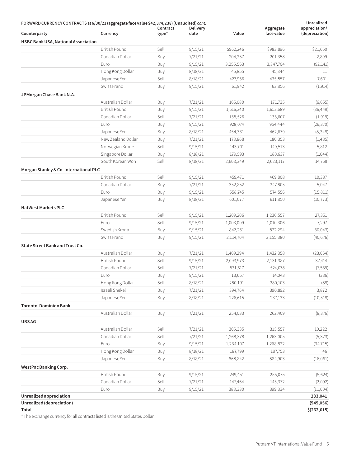| FORWARD CURRENCY CONTRACTS at 6/30/21 (aggregate face value \$42,374,238) (Unaudited) cont. |                      | Contract | <b>Delivery</b> |           | Aggregate  | Unrealized<br>appreciation/ |
|---------------------------------------------------------------------------------------------|----------------------|----------|-----------------|-----------|------------|-----------------------------|
| Counterparty                                                                                | Currency             | type*    | date            | Value     | face value | (depreciation)              |
| HSBC Bank USA, National Association                                                         |                      |          |                 |           |            |                             |
|                                                                                             | <b>British Pound</b> | Sell     | 9/15/21         | \$962,246 | \$983,896  | \$21,650                    |
|                                                                                             | Canadian Dollar      | Buy      | 7/21/21         | 204,257   | 201,358    | 2,899                       |
|                                                                                             | Euro                 | Buy      | 9/15/21         | 3,255,563 | 3,347,704  | (92, 141)                   |
|                                                                                             | Hong Kong Dollar     | Buy      | 8/18/21         | 45,855    | 45,844     | 11                          |
|                                                                                             | Japanese Yen         | Sell     | 8/18/21         | 427,956   | 435,557    | 7,601                       |
|                                                                                             | Swiss Franc          | Buy      | 9/15/21         | 61,942    | 63,856     | (1, 914)                    |
| JPMorgan Chase Bank N.A.                                                                    |                      |          |                 |           |            |                             |
|                                                                                             | Australian Dollar    | Buy      | 7/21/21         | 165,080   | 171,735    | (6,655)                     |
|                                                                                             | <b>British Pound</b> | Buy      | 9/15/21         | 1,616,240 | 1,652,689  | (36, 449)                   |
|                                                                                             | Canadian Dollar      | Sell     | 7/21/21         | 135,526   | 133,607    | (1, 919)                    |
|                                                                                             | Euro                 | Buy      | 9/15/21         | 928,074   | 954,444    | (26, 370)                   |
|                                                                                             | Japanese Yen         | Buy      | 8/18/21         | 454,331   | 462,679    | (8, 348)                    |
|                                                                                             | New Zealand Dollar   | Buy      | 7/21/21         | 178,868   | 180,353    | (1,485)                     |
|                                                                                             | Norwegian Krone      | Sell     | 9/15/21         | 143,701   | 149,513    | 5,812                       |
|                                                                                             | Singapore Dollar     | Buy      | 8/18/21         | 179,593   | 180,637    | (1,044)                     |
|                                                                                             | South Korean Won     | Sell     | 8/18/21         | 2,608,349 | 2,623,117  | 14,768                      |
| Morgan Stanley & Co. International PLC                                                      |                      |          |                 |           |            |                             |
|                                                                                             | <b>British Pound</b> | Sell     | 9/15/21         | 459,471   | 469,808    | 10,337                      |
|                                                                                             | Canadian Dollar      | Buy      | 7/21/21         | 352,852   | 347,805    | 5,047                       |
|                                                                                             | Euro                 | Buy      | 9/15/21         | 558,745   | 574,556    | (15, 811)                   |
|                                                                                             | Japanese Yen         | Buy      | 8/18/21         | 601,077   | 611,850    | (10, 773)                   |
| NatWest Markets PLC                                                                         |                      |          |                 |           |            |                             |
|                                                                                             | <b>British Pound</b> | Sell     | 9/15/21         | 1,209,206 | 1,236,557  | 27,351                      |
|                                                                                             | Euro                 | Sell     | 9/15/21         | 1,003,009 | 1,010,306  | 7,297                       |
|                                                                                             | Swedish Krona        | Buy      | 9/15/21         | 842,251   | 872,294    | (30,043)                    |
|                                                                                             | Swiss Franc          |          |                 |           |            | (40, 676)                   |
|                                                                                             |                      | Buy      | 9/15/21         | 2,114,704 | 2,155,380  |                             |
| State Street Bank and Trust Co.                                                             |                      |          |                 |           |            |                             |
|                                                                                             | Australian Dollar    | Buy      | 7/21/21         | 1,409,294 | 1,432,358  | (23,064)                    |
|                                                                                             | <b>British Pound</b> | Sell     | 9/15/21         | 2,093,973 | 2,131,387  | 37,414                      |
|                                                                                             | Canadian Dollar      | Sell     | 7/21/21         | 531,617   | 524,078    | (7,539)                     |
|                                                                                             | Euro                 | Buy      | 9/15/21         | 13,657    | 14,043     | (386)                       |
|                                                                                             | Hong Kong Dollar     | Sell     | 8/18/21         | 280,191   | 280,103    | (88)                        |
|                                                                                             | Israeli Shekel       | Buy      | 7/21/21         | 394,764   | 390,892    | 3,872                       |
|                                                                                             | Japanese Yen         | Buy      | 8/18/21         | 226,615   | 237,133    | (10, 518)                   |
| <b>Toronto-Dominion Bank</b>                                                                |                      |          |                 |           |            |                             |
|                                                                                             | Australian Dollar    | Buy      | 7/21/21         | 254,033   | 262,409    | (8,376)                     |
| <b>UBSAG</b>                                                                                |                      |          |                 |           |            |                             |
|                                                                                             | Australian Dollar    | Sell     | 7/21/21         | 305,335   | 315,557    | 10,222                      |
|                                                                                             | Canadian Dollar      | Sell     | 7/21/21         | 1,268,378 | 1,263,005  | (5, 373)                    |
|                                                                                             | Euro                 | Buy      | 9/15/21         | 1,234,107 | 1,268,822  | (34, 715)                   |
|                                                                                             | Hong Kong Dollar     | Buy      | 8/18/21         | 187,799   | 187,753    | 46                          |
|                                                                                             | Japanese Yen         | Buy      | 8/18/21         | 868,842   | 884,903    | (16,061)                    |
| WestPac Banking Corp.                                                                       |                      |          |                 |           |            |                             |
|                                                                                             | <b>British Pound</b> | Buy      | 9/15/21         | 249,451   | 255,075    | (5,624)                     |
|                                                                                             | Canadian Dollar      | Sell     | 7/21/21         | 147,464   | 145,372    | (2,092)                     |
|                                                                                             | Euro                 | Buy      | 9/15/21         | 388,330   | 399,334    | (11,004)                    |
| Unrealized appreciation                                                                     |                      |          |                 |           |            | 283,041                     |
| Unrealized (depreciation)                                                                   |                      |          |                 |           |            | (545, 056)                  |
| Total                                                                                       |                      |          |                 |           |            | \$(262, 015)                |

\* The exchange currency for all contracts listed is the United States Dollar.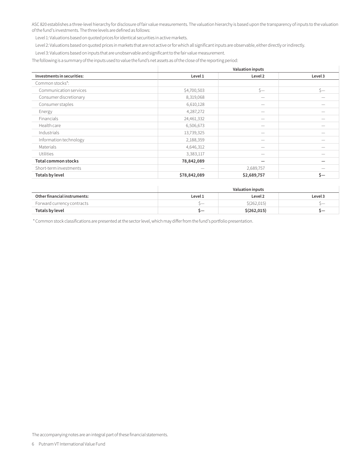ASC 820 establishes a three-level hierarchy for disclosure of fair value measurements. The valuation hierarchy is based upon the transparency of inputs to the valuation of the fund's investments. The three levels are defined as follows:

Level 1: Valuations based on quoted prices for identical securities in active markets.

Level 2: Valuations based on quoted prices in markets that are not active or for which all significant inputs are observable, either directly or indirectly.

Level 3: Valuations based on inputs that are unobservable and significant to the fair value measurement.

The following is a summary of the inputs used to value the fund's net assets as of the close of the reporting period:

|                            | <b>Valuation inputs</b> |             |      |  |
|----------------------------|-------------------------|-------------|------|--|
| Investments in securities: | Level 1                 | Level 3     |      |  |
| Common stocks*:            |                         |             |      |  |
| Communication services     | \$4,700,503             | $s-$        | $s-$ |  |
| Consumer discretionary     | 8,319,068               | __          |      |  |
| Consumer staples           | 6,610,128               |             |      |  |
| Energy                     | 4,287,272               |             |      |  |
| Financials                 | 24,461,332              |             |      |  |
| Health care                | 6,506,673               |             |      |  |
| Industrials                | 13,739,325              | —           |      |  |
| Information technology     | 2,188,359               |             |      |  |
| Materials                  | 4,646,312               |             |      |  |
| <b>Utilities</b>           | 3,383,117               |             |      |  |
| <b>Total common stocks</b> | 78,842,089              | —           |      |  |
| Short-term investments     |                         | 2,689,757   |      |  |
| Totals by level            | \$78,842,089            | \$2,689,757 | \$—  |  |

|                              | Valuation inputs |              |         |  |
|------------------------------|------------------|--------------|---------|--|
| Other financial instruments: | Level 1          | Level 2      | Level 3 |  |
| Forward currency contracts   |                  | \$(262,015)  |         |  |
| Totals by level              | ._               | \$(262, 015) |         |  |

\* Common stock classifications are presented at the sector level, which may differ from the fund's portfolio presentation.

The accompanying notes are an integral part of these financial statements.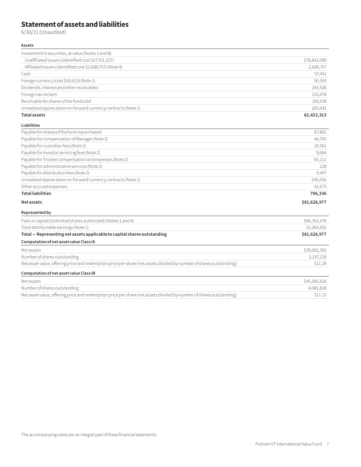# **Statement of assets and liabilities**

6/30/21 (Unaudited)

#### **Assets**

| Investment in securities, at value (Notes 1 and 8):            |              |
|----------------------------------------------------------------|--------------|
| Unaffiliated issuers (identified cost \$67,701,527)            | \$78,842,089 |
| Affiliated issuers (identified cost \$2,689,757) (Note 4)      | 2,689,757    |
| Cash                                                           | 57,451       |
| Foreign currency (cost \$50,623) (Note 1)                      | 50,593       |
| Dividends, interest and other receivables                      | 243,926      |
| Foreign tax reclaim                                            | 155,478      |
| Receivable for shares of the fund sold                         | 100,978      |
| Unrealized appreciation on forward currency contracts (Note 1) | 283,041      |
| <b>Total assets</b>                                            | 82,423,313   |

#### **Liabilities**

| Payable for shares of the fund repurchased                     | 67,801       |
|----------------------------------------------------------------|--------------|
| Payable for compensation of Manager (Note 2)                   | 46,705       |
| Payable for custodian fees (Note 2)                            | 10,501       |
| Payable for investor servicing fees (Note 2)                   | 9,664        |
| Payable for Trustee compensation and expenses (Note 2)         | 65,211       |
| Payable for administrative services (Note 2)                   | 228          |
| Payable for distribution fees (Note 2)                         | 9,497        |
| Unrealized depreciation on forward currency contracts (Note 1) | 545,056      |
| Other accrued expenses                                         | 41,673       |
| <b>Total liabilities</b>                                       | 796,336      |
| Net assets                                                     | \$81,626,977 |

#### **Represented by**

| Paid-in capital (Unlimited shares authorized) (Notes 1 and 4)                                                       | \$66,362,476 |
|---------------------------------------------------------------------------------------------------------------------|--------------|
| Total distributable earnings (Note 1)                                                                               | 15,264,501   |
| Total - Representing net assets applicable to capital shares outstanding                                            | \$81,626,977 |
| Computation of net asset value Class IA                                                                             |              |
| Net assets                                                                                                          | \$36,061,361 |
| Number of shares outstanding                                                                                        | 3,197,218    |
| Net asset value, offering price and redemption price per share (net assets divided by number of shares outstanding) | \$11.28      |
| Computation of net asset value Class IB                                                                             |              |
| Net assets                                                                                                          | \$45,565,616 |
| Number of shares outstanding                                                                                        | 4,085,828    |
| Net asset value, offering price and redemption price per share (net assets divided by number of shares outstanding) | \$11.15      |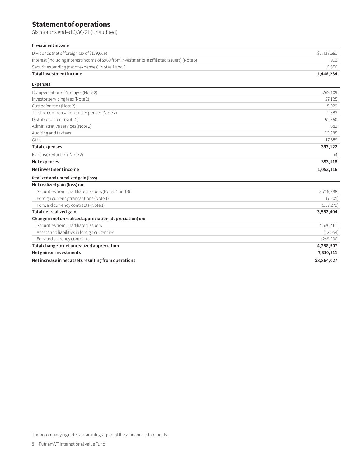# **Statement of operations**

Six months ended 6/30/21 (Unaudited)

| <b>Investment income</b>                                                                      |             |
|-----------------------------------------------------------------------------------------------|-------------|
| Dividends (net of foreign tax of \$179,666)                                                   | \$1,438,691 |
| Interest (including interest income of \$969 from investments in affiliated issuers) (Note 5) | 993         |
| Securities lending (net of expenses) (Notes 1 and 5)                                          | 6,550       |
| <b>Total investment income</b>                                                                | 1,446,234   |
| <b>Expenses</b>                                                                               |             |
| Compensation of Manager (Note 2)                                                              | 262,109     |
| Investor servicing fees (Note 2)                                                              | 27,125      |
| Custodian fees (Note 2)                                                                       | 5,929       |
| Trustee compensation and expenses (Note 2)                                                    | 1,683       |
| Distribution fees (Note 2)                                                                    | 51,550      |
| Administrative services (Note 2)                                                              | 682         |
| Auditing and tax fees                                                                         | 26,385      |
| Other                                                                                         | 17,659      |
| <b>Total expenses</b>                                                                         | 393,122     |
| Expense reduction (Note 2)                                                                    | (4)         |
| Net expenses                                                                                  | 393,118     |
| Net investment income                                                                         | 1,053,116   |
| Realized and unrealized gain (loss)                                                           |             |
| Net realized gain (loss) on:                                                                  |             |
| Securities from unaffiliated issuers (Notes 1 and 3)                                          | 3,716,888   |
| Foreign currency transactions (Note 1)                                                        | (7,205)     |
| Forward currency contracts (Note 1)                                                           | (157, 279)  |
| Total net realized gain                                                                       | 3,552,404   |
| Change in net unrealized appreciation (depreciation) on:                                      |             |
| Securities from unaffiliated issuers                                                          | 4,520,461   |
| Assets and liabilities in foreign currencies                                                  | (12,054)    |
| Forward currency contracts                                                                    | (249,900)   |
| Total change in net unrealized appreciation                                                   | 4,258,507   |
| Net gain on investments                                                                       | 7,810,911   |
| Net increase in net assets resulting from operations                                          | \$8,864,027 |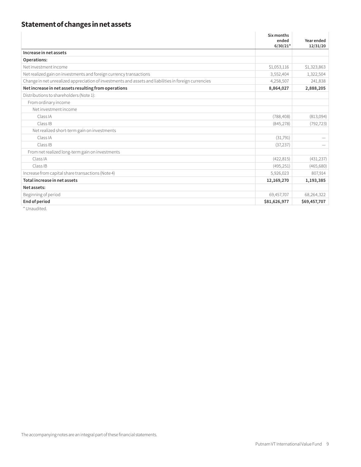# **Statement of changes in net assets**

|                                                                                                       | Six months<br>ended<br>$6/30/21*$ | Year ended<br>12/31/20 |
|-------------------------------------------------------------------------------------------------------|-----------------------------------|------------------------|
| Increase in net assets                                                                                |                                   |                        |
| Operations:                                                                                           |                                   |                        |
| Net investment income                                                                                 | \$1,053,116                       | \$1,323,863            |
| Net realized gain on investments and foreign currency transactions                                    | 3,552,404                         | 1,322,504              |
| Change in net unrealized appreciation of investments and assets and liabilities in foreign currencies | 4,258,507                         | 241,838                |
| Net increase in net assets resulting from operations                                                  | 8,864,027                         | 2,888,205              |
| Distributions to shareholders (Note 1):                                                               |                                   |                        |
| From ordinary income                                                                                  |                                   |                        |
| Net investment income                                                                                 |                                   |                        |
| Class IA                                                                                              | (788, 408)                        | (813,094)              |
| Class IB                                                                                              | (845, 278)                        | (792, 723)             |
| Net realized short-term gain on investments                                                           |                                   |                        |
| Class IA                                                                                              | (31,791)                          |                        |
| Class IB                                                                                              | (37, 237)                         |                        |
| From net realized long-term gain on investments                                                       |                                   |                        |
| Class IA                                                                                              | (422, 815)                        | (431, 237)             |
| Class IB                                                                                              | (495, 251)                        | (465, 680)             |
| Increase from capital share transactions (Note 4)                                                     | 5,926,023                         | 807,914                |
| Total increase in net assets                                                                          | 12,169,270                        | 1,193,385              |
| Net assets:                                                                                           |                                   |                        |
| Beginning of period                                                                                   | 69,457,707                        | 68,264,322             |
| <b>End of period</b>                                                                                  | \$81,626,977                      | \$69,457,707           |

\* Unaudited.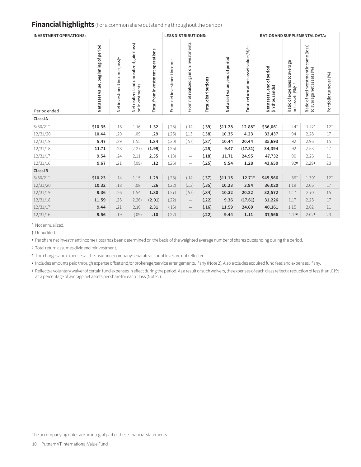# **Financial highlights** (For a common share outstanding throughout the period)

| <b>INVESTMENT OPERATIONS:</b> |                                      |                                           |                                                                   |                                  |                            | <b>LESS DISTRIBUTIONS:</b>            |                            |                                |                                       | RATIOS AND SUPPLEMENTAL DATA:               |                                                  |                                                                    |                        |
|-------------------------------|--------------------------------------|-------------------------------------------|-------------------------------------------------------------------|----------------------------------|----------------------------|---------------------------------------|----------------------------|--------------------------------|---------------------------------------|---------------------------------------------|--------------------------------------------------|--------------------------------------------------------------------|------------------------|
| Period ended                  | Net asset value, beginning of period | Net investment income (loss) <sup>a</sup> | gain (loss)<br>unrealized<br>and<br>on investments<br>Netrealized | Total from investment operations | From net investment income | From net realized gain on investments | <b>Total distributions</b> | Net asset value, end of period | Total return at net assetvalue (%)b,c | Net assets, end of period<br>(in thousands) | Ratio of expenses to average<br>netassets (%)c,d | Ratio of net investment income (loss)<br>to average net assets (%) | Portfolio turnover (%) |
| Class IA                      |                                      |                                           |                                                                   |                                  |                            |                                       |                            |                                |                                       |                                             |                                                  |                                                                    |                        |
| 6/30/21                       | \$10.35                              | .16                                       | 1.16                                                              | 1.32                             | (.25)                      | (.14)                                 | (.39)                      | \$11.28                        | 12.88*                                | \$36,061                                    | $.44*$                                           | $1.42*$                                                            | $12*$                  |
| 12/31/20                      | 10.44                                | .20                                       | .09                                                               | .29                              | (.25)                      | (.13)                                 | (.38)                      | 10.35                          | 4.23                                  | 33,437                                      | .94                                              | 2.28                                                               | 17                     |
| 12/31/19                      | 9.47                                 | .29                                       | 1.55                                                              | 1.84                             | (.30)                      | (.57)                                 | (.87)                      | 10.44                          | 20.44                                 | 35,693                                      | .92                                              | 2.96                                                               | 15                     |
| 12/31/18                      | 11.71                                | .28                                       | (2.27)                                                            | (1.99)                           | (.25)                      | $\qquad \qquad -$                     | (.25)                      | 9.47                           | (17.31)                               | 34,394                                      | .92                                              | 2.53                                                               | 17                     |
| 12/31/17                      | 9.54                                 | .24                                       | 2.11                                                              | 2.35                             | (.18)                      | $\qquad \qquad -$                     | (.18)                      | 11.71                          | 24.95                                 | 47,732                                      | .90                                              | 2.26                                                               | $11\,$                 |
| 12/31/16                      | 9.67                                 | .21                                       | (.09)                                                             | .12                              | (.25)                      |                                       | (.25)                      | 9.54                           | 1.28                                  | 43,650                                      | .92e                                             | 2.29e                                                              | 23                     |
| Class IB                      |                                      |                                           |                                                                   |                                  |                            |                                       |                            |                                |                                       |                                             |                                                  |                                                                    |                        |
| 6/30/211                      | \$10.23                              | .14                                       | 1.15                                                              | 1.29                             | (.23)                      | (.14)                                 | (.37)                      | \$11.15                        | $12.71*$                              | \$45,566                                    | $.56*$                                           | $1.30*$                                                            | $12*$                  |
| 12/31/20                      | 10.32                                | .18                                       | .08                                                               | .26                              | (.22)                      | (.13)                                 | (.35)                      | 10.23                          | 3.94                                  | 36,020                                      | 1.19                                             | 2.06                                                               | 17                     |
| 12/31/19                      | 9.36                                 | .26                                       | 1.54                                                              | 1.80                             | (.27)                      | (.57)                                 | (.84)                      | 10.32                          | 20.22                                 | 32,572                                      | 1.17                                             | 2.70                                                               | 15                     |
| 12/31/18                      | 11.59                                | .25                                       | (2.26)                                                            | (2.01)                           | (.22)                      | $\overline{\phantom{m}}$              | (.22)                      | 9.36                           | (17.61)                               | 31,226                                      | 1.17                                             | 2.25                                                               | 17                     |
| 12/31/17                      | 9.44                                 | .21                                       | 2.10                                                              | 2.31                             | (.16)                      | $\overline{\phantom{m}}$              | (.16)                      | 11.59                          | 24.69                                 | 40,161                                      | 1.15                                             | 2.02                                                               | $11\,$                 |
| 12/31/16                      | 9.56                                 | .19                                       | (.09)                                                             | .10                              | (22)                       | $\overline{\phantom{0}}$              | (.22)                      | 9.44                           | 1.11                                  | 37,566                                      | 1.17e                                            | 2.02 <sub>e</sub>                                                  | 23                     |

\* Not annualized.

† Unaudited.

**<sup>a</sup>** Per share net investment income (loss) has been determined on the basis of the weighted average number of shares outstanding during the period.

**<sup>b</sup>** Total return assumes dividend reinvestment.

**<sup>c</sup>** The charges and expenses at the insurance company separate account level are not reflected.

**<sup>d</sup>** Includes amounts paid through expense offset and/or brokerage/service arrangements, if any (Note 2). Also excludes acquired fund fees and expenses, if any.

**<sup>e</sup>** Reflects a voluntary waiver of certain fund expenses in effect during the period. As a result of such waivers, the expenses of each class reflect a reduction of less than .01% as a percentage of average net assets per share for each class (Note 2).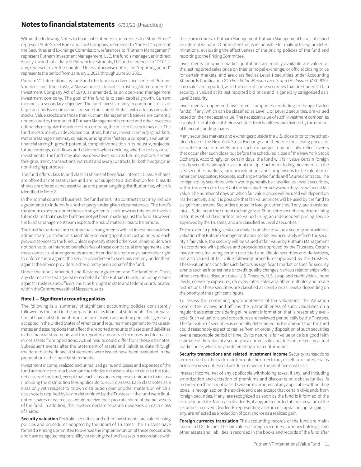### **Notes to financial statements** 6/30/21 (Unaudited)

Within the following Notes to financial statements, references to "State Street" represent State Street Bank and Trust Company, references to "the SEC" represent the Securities and Exchange Commission, references to "Putnam Management" represent Putnam Investment Management, LLC, the fund's manager, an indirect wholly-owned subsidiary of Putnam Investments, LLC and references to "OTC", if any, represent over-the-counter. Unless otherwise noted, the "reporting period" represents the period from January 1, 2021 through June 30, 2021.

Putnam VT International Value Fund (the fund) is a diversified series of Putnam Variable Trust (the Trust), a Massachusetts business trust registered under the Investment Company Act of 1940, as amended, as an open-end management investment company. The goal of the fund is to seek capital growth. Current income is a secondary objective. The fund invests mainly in common stocks of large and midsize companies outside the United States, with a focus on value stocks. Value stocks are those that Putnam Management believes are currently undervalued by the market. If Putnam Management is correct and other investors ultimately recognize the value of the company, the price of its stock may rise. The fund invests mainly in developed countries, but may invest in emerging markets. Putnam Management may consider, among other factors, a company's valuation, financial strength, growth potential, competitive position in its industry, projected future earnings, cash flows and dividends when deciding whether to buy or sell investments. The fund may also use derivatives, such as futures, options, certain foreign currency transactions, warrants and swap contracts, for both hedging and non-hedging purposes.

The fund offers class IA and class IB shares of beneficial interest. Class IA shares are offered at net asset value and are not subject to a distribution fee. Class IB shares are offered at net asset value and pay an ongoing distribution fee, which is identified in Note 2.

In the normal course of business, the fund enters into contracts that may include agreements to indemnify another party under given circumstances. The fund's maximum exposure under these arrangements is unknown as this would involve future claims that may be, but have not yet been, made against the fund. However, the fund's management team expects the risk of material loss to be remote.

The fund has entered into contractual arrangements with an investment adviser, administrator, distributor, shareholder servicing agent and custodian, who each provide services to the fund. Unless expressly stated otherwise, shareholders are not parties to, or intended beneficiaries of these contractual arrangements, and these contractual arrangements are not intended to create any shareholder right to enforce them against the service providers or to seek any remedy under them against the service providers, either directly or on behalf of the fund.

Under the fund's Amended and Restated Agreement and Declaration of Trust, any claims asserted against or on behalf of the Putnam Funds, including claims against Trustees and Officers, must be brought in state and federal courts located within the Commonwealth of Massachusetts.

#### **Note 1 — Significant accounting policies**

The following is a summary of significant accounting policies consistently followed by the fund in the preparation of its financial statements. The preparation of financial statements is in conformity with accounting principles generally accepted in the United States of America and requires management to make estimates and assumptions that affect the reported amounts of assets and liabilities in the financial statements and the reported amounts of increases and decreases in net assets from operations. Actual results could differ from those estimates. Subsequent events after the Statement of assets and liabilities date through the date that the financial statements were issued have been evaluated in the preparation of the financial statements.

Investment income, realized and unrealized gains and losses and expenses of the fund are borne pro-rata based on the relative net assets of each class to the total net assets of the fund, except that each class bears expenses unique to that class (including the distribution fees applicable to such classes). Each class votes as a class only with respect to its own distribution plan or other matters on which a class vote is required by law or determined by the Trustees. If the fund were liquidated, shares of each class would receive their pro-rata share of the net assets of the fund. In addition, the Trustees declare separate dividends on each class of shares.

**Security valuation** Portfolio securities and other investments are valued using policies and procedures adopted by the Board of Trustees. The Trustees have formed a Pricing Committee to oversee the implementation of these procedures and have delegated responsibility for valuing the fund's assets in accordance with

these procedures to Putnam Management. Putnam Management has established an internal Valuation Committee that is responsible for making fair value determinations, evaluating the effectiveness of the pricing policies of the fund and reporting to the Pricing Committee.

Investments for which market quotations are readily available are valued at the last reported sales price on their principal exchange, or official closing price for certain markets, and are classified as Level 1 securities under Accounting Standards Codification 820 *Fair Value Measurements and Disclosures* (ASC 820). If no sales are reported, as in the case of some securities that are traded OTC, a security is valued at its last reported bid price and is generally categorized as a Level 2 security.

Investments in open-end investment companies (excluding exchange-traded funds), if any, which can be classified as Level 1 or Level 2 securities, are valued based on their net asset value. The net asset value of such investment companies equals the total value of their assets less their liabilities and divided by the number of their outstanding shares.

Many securities markets and exchanges outside the U.S. close prior to the scheduled close of the New York Stock Exchange and therefore the closing prices for securities in such markets or on such exchanges may not fully reflect events that occur after such close but before the scheduled close of the New York Stock Exchange. Accordingly, on certain days, the fund will fair value certain foreign equity securities taking into account multiple factors including movements in the U.S. securities markets, currency valuations and comparisons to the valuation of American Depository Receipts, exchange-traded funds and futures contracts. The foreign equity securities, which would generally be classified as Level 1 securities, will be transferred to Level 2 of the fair value hierarchy when they are valued at fair value. The number of days on which fair value prices will be used will depend on market activity and it is possible that fair value prices will be used by the fund to a significant extent. Securities quoted in foreign currencies, if any, are translated into U.S. dollars at the current exchange rate. Short-term securities with remaining maturities of 60 days or less are valued using an independent pricing service approved by the Trustees, and are classified as Level 2 securities.

To the extent a pricing service or dealer is unable to value a security or provides a valuation that Putnam Management does not believe accurately reflects the security's fair value, the security will be valued at fair value by Putnam Management in accordance with policies and procedures approved by the Trustees. Certain investments, including certain restricted and illiquid securities and derivatives, are also valued at fair value following procedures approved by the Trustees. These valuations consider such factors as significant market or specific security events such as interest rate or credit quality changes, various relationships with other securities, discount rates, U.S. Treasury, U.S. swap and credit yields, index levels, convexity exposures, recovery rates, sales and other multiples and resale restrictions. These securities are classified as Level 2 or as Level 3 depending on the priority of the significant inputs.

To assess the continuing appropriateness of fair valuations, the Valuation Committee reviews and affirms the reasonableness of such valuations on a regular basis after considering all relevant information that is reasonably available. Such valuations and procedures are reviewed periodically by the Trustees. The fair value of securities is generally determined as the amount that the fund could reasonably expect to realize from an orderly disposition of such securities over a reasonable period of time. By its nature, a fair value price is a good faith estimate of the value of a security in a current sale and does not reflect an actual market price, which may be different by a material amount.

**Security transactions and related investment income** Security transactions are recorded on the trade date (the date the order to buy or sell is executed). Gains or losses on securities sold are determined on the identified cost basis.

Interest income, net of any applicable withholding taxes, if any, and including amortization and accretion of premiums and discounts on debt securities, is recorded on the accrual basis. Dividend income, net of any applicable withholding taxes, is recognized on the ex-dividend date except that certain dividends from foreign securities, if any, are recognized as soon as the fund is informed of the ex-dividend date. Non-cash dividends, if any, are recorded at the fair value of the securities received. Dividends representing a return of capital or capital gains, if any, are reflected as a reduction of cost and/or as a realized gain.

**Foreign currency translation** The accounting records of the fund are maintained in U.S. dollars. The fair value of foreign securities, currency holdings, and other assets and liabilities is recorded in the books and records of the fund after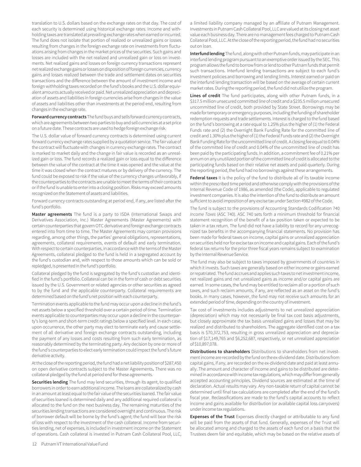translation to U.S. dollars based on the exchange rates on that day. The cost of each security is determined using historical exchange rates. Income and withholding taxes are translated at prevailing exchange rates when earned or incurred. The fund does not isolate that portion of realized or unrealized gains or losses resulting from changes in the foreign exchange rate on investments from fluctuations arising from changes in the market prices of the securities. Such gains and losses are included with the net realized and unrealized gain or loss on investments. Net realized gains and losses on foreign currency transactions represent net realized exchange gains or losses on disposition of foreign currencies, currency gains and losses realized between the trade and settlement dates on securities transactions and the difference between the amount of investment income and foreign withholding taxes recorded on the fund's books and the U.S. dollar equivalent amounts actually received or paid. Net unrealized appreciation and depreciation of assets and liabilities in foreign currencies arise from changes in the value of assets and liabilities other than investments at the period end, resulting from changes in the exchange rate.

**Forward currency contracts** The fund buys and sells forward currency contracts, which are agreements between two parties to buy and sell currencies at a set price on a future date. These contracts are used to hedge foreign exchange risk.

The U.S. dollar value of forward currency contracts is determined using current forward currency exchange rates supplied by a quotation service. The fair value of the contract will fluctuate with changes in currency exchange rates. The contract is marked to market daily and the change in fair value is recorded as an unrealized gain or loss. The fund records a realized gain or loss equal to the difference between the value of the contract at the time it was opened and the value at the time it was closed when the contract matures or by delivery of the currency. The fund could be exposed to risk if the value of the currency changes unfavorably, if the counterparties to the contracts are unable to meet the terms of their contracts or if the fund is unable to enter into a closing position. Risks may exceed amounts recognized on the Statement of assets and liabilities.

Forward currency contracts outstanding at period end, if any, are listed after the fund's portfolio.

**Master agreements** The fund is a party to ISDA (International Swaps and Derivatives Association, Inc.) Master Agreements (Master Agreements) with certain counterparties that govern OTC derivative and foreign exchange contracts entered into from time to time. The Master Agreements may contain provisions regarding, among other things, the parties' general obligations, representations, agreements, collateral requirements, events of default and early termination. With respect to certain counterparties, in accordance with the terms of the Master Agreements, collateral pledged to the fund is held in a segregated account by the fund's custodian and, with respect to those amounts which can be sold or repledged, is presented in the fund's portfolio.

Collateral pledged by the fund is segregated by the fund's custodian and identified in the fund's portfolio. Collateral can be in the form of cash or debt securities issued by the U.S. Government or related agencies or other securities as agreed to by the fund and the applicable counterparty. Collateral requirements are determined based on the fund's net position with each counterparty.

Termination events applicable to the fund may occur upon a decline in the fund's net assets below a specified threshold over a certain period of time. Termination events applicable to counterparties may occur upon a decline in the counterparty's long-term and short-term credit ratings below a specified level. In each case, upon occurrence, the other party may elect to terminate early and cause settlement of all derivative and foreign exchange contracts outstanding, including the payment of any losses and costs resulting from such early termination, as reasonably determined by the terminating party. Any decision by one or more of the fund's counterparties to elect early termination could impact the fund's future derivative activity.

At the close of the reporting period, the fund had a net liability position of \$287,450 on open derivative contracts subject to the Master Agreements**.** There was no collateral pledged by the fund at period end for these agreements.

**Securities lending** The fund may lend securities, through its agent, to qualified borrowers in order to earn additional income. The loans are collateralized by cash in an amount at least equal to the fair value of the securities loaned. The fair value of securities loaned is determined daily and any additional required collateral is allocated to the fund on the next business day. The remaining maturities of the securities lending transactions are considered overnight and continuous. The risk of borrower default will be borne by the fund's agent; the fund will bear the risk of loss with respect to the investment of the cash collateral. Income from securities lending, net of expenses, is included in investment income on the Statement of operations. Cash collateral is invested in Putnam Cash Collateral Pool, LLC, a limited liability company managed by an affiliate of Putnam Management. Investments in Putnam Cash Collateral Pool, LLC are valued at its closing net asset value each business day. There are no management fees charged to Putnam Cash Collateral Pool, LLC. At the close of the reporting period, the fund had no securities out on loan.

**Interfund lending** The fund, along with other Putnam funds, may participate in an interfund lending program pursuant to an exemptive order issued by the SEC. This program allows the fund to borrow from or lend to other Putnam funds that permit such transactions. Interfund lending transactions are subject to each fund's investment policies and borrowing and lending limits. Interest earned or paid on the interfund lending transaction will be based on the average of certain current market rates. During the reporting period, the fund did not utilize the program.

**Lines of credit** The fund participates, along with other Putnam funds, in a \$317.5 million unsecured committed line of credit and a \$235.5 million unsecured uncommitted line of credit, both provided by State Street. Borrowings may be made for temporary or emergency purposes, including the funding of shareholder redemption requests and trade settlements. Interest is charged to the fund based on the fund's borrowing at a rate equal to 1.25% plus the higher of (1) the Federal Funds rate and (2) the Overnight Bank Funding Rate for the committed line of credit and 1.30% plus the higher of (1) the Federal Funds rate and (2) the Overnight Bank Funding Rate for the uncommitted line of credit. A closing fee equal to 0.04% of the committed line of credit and 0.04% of the uncommitted line of credit has been paid by the participating funds. In addition, a commitment fee of 0.21% per annum on any unutilized portion of the committed line of credit is allocated to the participating funds based on their relative net assets and paid quarterly. During the reporting period, the fund had no borrowings against these arrangements.

**Federal taxes** It is the policy of the fund to distribute all of its taxable income within the prescribed time period and otherwise comply with the provisions of the Internal Revenue Code of 1986, as amended (the Code), applicable to regulated investment companies. It is also the intention of the fund to distribute an amount sufficient to avoid imposition of any excise tax under Section 4982 of the Code.

The fund is subject to the provisions of Accounting Standards Codification 740 *Income Taxes* (ASC 740). ASC 740 sets forth a minimum threshold for financial statement recognition of the benefit of a tax position taken or expected to be taken in a tax return. The fund did not have a liability to record for any unrecognized tax benefits in the accompanying financial statements. No provision has been made for federal taxes on income, capital gains or unrealized appreciation on securities held nor for excise tax on income and capital gains. Each of the fund's federal tax returns for the prior three fiscal years remains subject to examination by the Internal Revenue Service.

The fund may also be subject to taxes imposed by governments of countries in which it invests. Such taxes are generally based on either income or gains earned or repatriated. The fund accrues and applies such taxes to net investment income, net realized gains and net unrealized gains as income and/or capital gains are earned. In some cases, the fund may be entitled to reclaim all or a portion of such taxes, and such reclaim amounts, if any, are reflected as an asset on the fund's books. In many cases, however, the fund may not receive such amounts for an extended period of time, depending on the country of investment.

Tax cost of investments includes adjustments to net unrealized appreciation (depreciation) which may not necessarily be final tax cost basis adjustments, but closely approximate the tax basis unrealized gains and losses that may be realized and distributed to shareholders. The aggregate identified cost on a tax basis is \$70,372,753, resulting in gross unrealized appreciation and depreciation of \$17,149,765 and \$6,252,687, respectively, or net unrealized appreciation of \$10,897,078.

**Distributions to shareholders** Distributions to shareholders from net investment income are recorded by the fund on the ex-dividend date. Distributions from capital gains, if any, are recorded on the ex-dividend date and paid at least annually. The amount and character of income and gains to be distributed are determined in accordance with income tax regulations, which may differ from generally accepted accounting principles. Dividend sources are estimated at the time of declaration. Actual results may vary. Any non-taxable return of capital cannot be determined until final tax calculations are completed after the end of the fund's fiscal year. Reclassifications are made to the fund's capital accounts to reflect income and gains available for distribution (or available capital loss carryovers) under income tax regulations.

**Expenses of the Trust** Expenses directly charged or attributable to any fund will be paid from the assets of that fund. Generally, expenses of the Trust will be allocated among and charged to the assets of each fund on a basis that the Trustees deem fair and equitable, which may be based on the relative assets of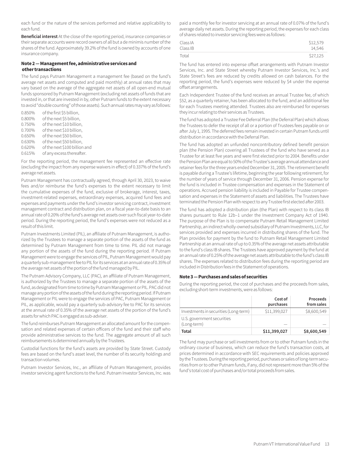each fund or the nature of the services performed and relative applicability to each fund.

**Beneficial interest** At the close of the reporting period, insurance companies or their separate accounts were record owners of all but a de minimis number of the shares of the fund. Approximately 39.2% of the fund is owned by accounts of one insurance company.

#### **Note 2 — Management fee, administrative services and other transactions**

The fund pays Putnam Management a management fee (based on the fund's average net assets and computed and paid monthly) at annual rates that may vary based on the average of the aggregate net assets of all open-end mutual funds sponsored by Putnam Management (excluding net assets of funds that are invested in, or that are invested in by, other Putnam funds to the extent necessary to avoid "double counting" of those assets). Such annual rates may vary as follows:

| 0.850% | of the first \$5 billion.     |
|--------|-------------------------------|
| 0.800% | of the next \$5 billion,      |
| 0.750% | of the next \$10 billion,     |
| 0.700% | of the next \$10 billion,     |
| 0.650% | of the next \$50 billion,     |
| 0.630% | of the next \$50 billion,     |
| 0.620% | of the next \$100 billion and |
| 0.615% | of any excess thereafter.     |
|        |                               |

For the reporting period, the management fee represented an effective rate (excluding the impact from any expense waivers in effect) of 0.337% of the fund's average net assets.

Putnam Management has contractually agreed, through April 30, 2023, to waive fees and/or reimburse the fund's expenses to the extent necessary to limit the cumulative expenses of the fund, exclusive of brokerage, interest, taxes, investment-related expenses, extraordinary expenses, acquired fund fees and expenses and payments under the fund's investor servicing contract, investment management contract and distribution plan, on a fiscal year-to-date basis to an annual rate of 0.20% of the fund's average net assets over such fiscal year-to-date period. During the reporting period, the fund's expenses were not reduced as a result of this limit.

Putnam Investments Limited (PIL), an affiliate of Putnam Management, is authorized by the Trustees to manage a separate portion of the assets of the fund as determined by Putnam Management from time to time. PIL did not manage any portion of the assets of the fund during the reporting period. If Putnam Management were to engage the services of PIL, Putnam Management would pay a quarterly sub-management fee to PIL for its services at an annual rate of 0.35% of the average net assets of the portion of the fund managed by PIL.

The Putnam Advisory Company, LLC (PAC), an affiliate of Putnam Management, is authorized by the Trustees to manage a separate portion of the assets of the fund, as designated from time to time by Putnam Management or PIL. PAC did not manage any portion of the assets of the fund during the reporting period. If Putnam Management or PIL were to engage the services of PAC, Putnam Management or PIL, as applicable, would pay a quarterly sub-advisory fee to PAC for its services at the annual rate of 0.35% of the average net assets of the portion of the fund's assets for which PAC is engaged as sub-adviser.

The fund reimburses Putnam Management an allocated amount for the compensation and related expenses of certain officers of the fund and their staff who provide administrative services to the fund. The aggregate amount of all such reimbursements is determined annually by the Trustees.

Custodial functions for the fund's assets are provided by State Street. Custody fees are based on the fund's asset level, the number of its security holdings and transaction volumes.

Putnam Investor Services, Inc., an affiliate of Putnam Management, provides investor servicing agent functions to the fund. Putnam Investor Services, Inc. was paid a monthly fee for investor servicing at an annual rate of 0.07% of the fund's average daily net assets. During the reporting period, the expenses for each class of shares related to investor servicing fees were as follows:

| Class IA | \$12,579 |
|----------|----------|
| Class IB | 14,546   |
| Total    | \$27,125 |

The fund has entered into expense offset arrangements with Putnam Investor Services, Inc. and State Street whereby Putnam Investor Services, Inc.'s and State Street's fees are reduced by credits allowed on cash balances. For the reporting period, the fund's expenses were reduced by \$4 under the expense offset arrangements.

Each Independent Trustee of the fund receives an annual Trustee fee, of which \$52, as a quarterly retainer, has been allocated to the fund, and an additional fee for each Trustees meeting attended. Trustees also are reimbursed for expenses they incur relating to their services as Trustees.

The fund has adopted a Trustee Fee Deferral Plan (the Deferral Plan) which allows the Trustees to defer the receipt of all or a portion of Trustees fees payable on or after July 1, 1995. The deferred fees remain invested in certain Putnam funds until distribution in accordance with the Deferral Plan.

The fund has adopted an unfunded noncontributory defined benefit pension plan (the Pension Plan) covering all Trustees of the fund who have served as a Trustee for at least five years and were first elected prior to 2004. Benefits under the Pension Plan are equal to 50% of the Trustee's average annual attendance and retainer fees for the three years ended December 31, 2005. The retirement benefit is payable during a Trustee's lifetime, beginning the year following retirement, for the number of years of service through December 31, 2006. Pension expense for the fund is included in Trustee compensation and expenses in the Statement of operations. Accrued pension liability is included in Payable for Trustee compensation and expenses in the Statement of assets and liabilities. The Trustees have terminated the Pension Plan with respect to any Trustee first elected after 2003.

The fund has adopted a distribution plan (the Plan) with respect to its class IB shares pursuant to Rule 12b–1 under the Investment Company Act of 1940. The purpose of the Plan is to compensate Putnam Retail Management Limited Partnership, an indirect wholly-owned subsidiary of Putnam Investments, LLC, for services provided and expenses incurred in distributing shares of the fund. The Plan provides for payment by the fund to Putnam Retail Management Limited Partnership at an annual rate of up to 0.35% of the average net assets attributable to the fund's class IB shares. The Trustees have approved payment by the fund at an annual rate of 0.25% of the average net assets attributable to the fund's class IB shares. The expenses related to distribution fees during the reporting period are included in Distribution fees in the Statement of operations.

#### **Note 3 — Purchases and sales of securities**

During the reporting period, the cost of purchases and the proceeds from sales, excluding short-term investments, were as follows:

|                                           | Cost of<br>purchases | Proceeds<br>from sales |
|-------------------------------------------|----------------------|------------------------|
| Investments in securities (Long-term)     | \$11,399,027         | \$8,600,549            |
| U.S. government securities<br>(Long-term) |                      |                        |
| Total                                     | \$11,399,027         | \$8,600,549            |

The fund may purchase or sell investments from or to other Putnam funds in the ordinary course of business, which can reduce the fund's transaction costs, at prices determined in accordance with SEC requirements and policies approved by the Trustees. During the reporting period, purchases or sales of long-term securities from or to other Putnam funds, if any, did not represent more than 5% of the fund's total cost of purchases and/or total proceeds from sales.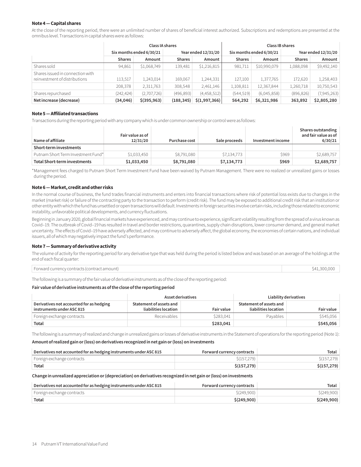#### **Note 4 — Capital shares**

At the close of the reporting period, there were an unlimited number of shares of beneficial interest authorized. Subscriptions and redemptions are presented at the omnibus level. Transactions in capital shares were as follows:

|                                                                   | <b>Class IA shares</b>   |               |                     |               | Class IB shares |                          |                     |             |  |
|-------------------------------------------------------------------|--------------------------|---------------|---------------------|---------------|-----------------|--------------------------|---------------------|-------------|--|
|                                                                   | Six months ended 6/30/21 |               | Year ended 12/31/20 |               |                 | Six months ended 6/30/21 | Year ended 12/31/20 |             |  |
|                                                                   | <b>Shares</b>            | Amount        | <b>Shares</b>       | Amount        | <b>Shares</b>   | Amount                   | <b>Shares</b>       | Amount      |  |
| Shares sold                                                       | 94,861                   | \$1,068,749   | 139,481             | \$1,216,815   | 981,711         | \$10,990,079             | 1,088,098           | \$9,492,140 |  |
| Shares issued in connection with<br>reinvestment of distributions | 113,517                  | 1,243,014     | 169.067             | 1,244,331     | 127,100         | 1,377,765                | 172,620             | 1,258,403   |  |
|                                                                   | 208,378                  | 2,311,763     | 308,548             | 2,461,146     | 1,108,811       | 12,367,844               | 1,260,718           | 10,750,543  |  |
| Shares repurchased                                                | (242,424)                | (2,707,726)   | (496,893)           | (4,458,512)   | (544, 519)      | (6,045,858)              | (896, 826)          | (7,945,263) |  |
| Net increase (decrease)                                           | (34, 046)                | $$$ (395,963) | (188, 345)          | \$(1,997,366) | 564,292         | \$6,321,986              | 363,892             | \$2,805,280 |  |

#### **Note 5 — Affiliated transactions**

Transactions during the reporting period with any company which is under common ownership or control were as follows:

| Name of affiliate                   | Fair value as of<br>12/31/20 | Purchase cost | Sale proceeds | Investment income | Shares outstanding<br>and fair value as of<br>6/30/21 |
|-------------------------------------|------------------------------|---------------|---------------|-------------------|-------------------------------------------------------|
| Short-term investments              |                              |               |               |                   |                                                       |
| Putnam Short Term Investment Fund*  | \$1,033,450                  | \$8,791,080   | \$7.134.773   | \$969             | \$2,689,757                                           |
| <b>Total Short-term investments</b> | \$1,033,450                  | \$8,791,080   | \$7,134,773   | \$969             | \$2,689,757                                           |

\*Management fees charged to Putnam Short Term Investment Fund have been waived by Putnam Management. There were no realized or unrealized gains or losses during the period.

#### **Note 6 — Market, credit and other risks**

In the normal course of business, the fund trades financial instruments and enters into financial transactions where risk of potential loss exists due to changes in the market (market risk) or failure of the contracting party to the transaction to perform (credit risk). The fund may be exposed to additional credit risk that an institution or other entity with which the fund has unsettled or open transactions will default. Investments in foreign securities involve certain risks, including those related to economic instability, unfavorable political developments, and currency fluctuations.

Beginning in January 2020, global financial markets have experienced, and may continue to experience, significant volatility resulting from the spread of a virus known as Covid–19. The outbreak of Covid–19 has resulted in travel and border restrictions, quarantines, supply chain disruptions, lower consumer demand, and general market uncertainty. The effects of Covid–19 have adversely affected, and may continue to adversely affect, the global economy, the economies of certain nations, and individual issuers, all of which may negatively impact the fund's performance.

#### **Note 7 — Summary of derivative activity**

The volume of activity for the reporting period for any derivative type that was held during the period is listed below and was based on an average of the holdings at the end of each fiscal quarter:

| Forward currency contracts (contract amount) | ~41.300.000 |
|----------------------------------------------|-------------|
|----------------------------------------------|-------------|

The following is a summary of the fair value of derivative instruments as of the close of the reporting period:

#### **Fair value of derivative instruments as of the close of the reporting period**

|                                                                                             | Asset derivatives                               |                   | Liability derivatives                           |                   |  |
|---------------------------------------------------------------------------------------------|-------------------------------------------------|-------------------|-------------------------------------------------|-------------------|--|
| Derivatives not accounted for as hedging<br>$^{\circ}$ instruments under ASC 815 $^{\circ}$ | Statement of assets and<br>liabilities location | <b>Fair value</b> | Statement of assets and<br>liabilities location | <b>Fair value</b> |  |
| Foreign exchange contracts                                                                  | Receivables                                     | \$283.041         | Pavables                                        | \$545,056         |  |
| Total                                                                                       |                                                 | \$283,041         |                                                 | \$545,056         |  |

The following is a summary of realized and change in unrealized gains or losses of derivative instruments in the Statement of operations for the reporting period (Note 1):

**Amount of realized gain or (loss) on derivatives recognized in net gain or (loss) on investments**

| Derivatives not accounted for as hedging instruments under ASC 815 | Forward currency contracts | Total       |
|--------------------------------------------------------------------|----------------------------|-------------|
| Foreign exchange contracts                                         | \$(157,279)                | \$(157,279) |
| Total                                                              | \$(157, 279)               | \$(157,279) |

#### **Change in unrealized appreciation or (depreciation) on derivatives recognized in net gain or (loss) on investments**

| Derivatives not accounted for as hedging instruments under ASC 815 | Forward currency contracts | Total       |
|--------------------------------------------------------------------|----------------------------|-------------|
| Foreign exchange contracts                                         | \$(249,900)                | \$(249,900) |
| Total                                                              | \$(249,900)                | \$(249,900) |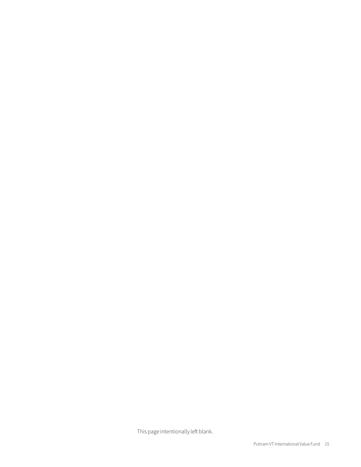This page intentionally left blank.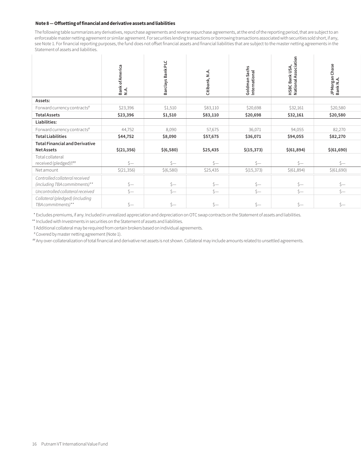#### **Note 8 — Offsetting of financial and derivative assets and liabilities**

The following table summarizes any derivatives, repurchase agreements and reverse repurchase agreements, at the end of the reporting period, that are subject to an enforceable master netting agreement or similar agreement. For securities lending transactions or borrowing transactions associated with securities sold short, if any, see Note 1. For financial reporting purposes, the fund does not offset financial assets and financial liabilities that are subject to the master netting agreements in the Statement of assets and liabilities.

|                                                       |              | $\cup$    |           | man Sach<br>rational | $\circ$<br>nk USA,<br>Associat<br>요 일 | ರ<br>$\overline{\phantom{0}}$<br>JPMorgan<br>Bank N.A. |
|-------------------------------------------------------|--------------|-----------|-----------|----------------------|---------------------------------------|--------------------------------------------------------|
|                                                       | Bank<br>N.A. |           | 콩         | Goldr<br>Interi      | HSBC<br>Nation                        |                                                        |
| Assets:                                               |              |           |           |                      |                                       |                                                        |
| Forward currency contracts#                           | \$23,396     | \$1,510   | \$83,110  | \$20,698             | \$32,161                              | \$20,580                                               |
| <b>Total Assets</b>                                   | \$23,396     | \$1,510   | \$83,110  | \$20,698             | \$32,161                              | \$20,580                                               |
| Liabilities:                                          |              |           |           |                      |                                       |                                                        |
| Forward currency contracts#                           | 44,752       | 8,090     | 57,675    | 36,071               | 94,055                                | 82,270                                                 |
| <b>Total Liabilities</b>                              | \$44,752     | \$8,090   | \$57,675  | \$36,071             | \$94,055                              | \$82,270                                               |
| <b>Total Financial and Derivative</b>                 |              |           |           |                      |                                       |                                                        |
| <b>Net Assets</b>                                     | \$(21, 356)  | \$(6,580) | \$25,435  | \$(15, 373)          | \$(61, 894)                           | \$ (61, 690)                                           |
| Total collateral                                      |              |           |           |                      |                                       |                                                        |
| received (pledged) <sup>†##</sup>                     | $S-$         | $S-$      | $S-$      | $S-$                 | $S-$                                  | $\zeta-$                                               |
| Net amount                                            | \$(21,356)   | \$(6,580) | \$25,435  | \$(15, 373)          | \$ (61,894)                           | \$ (61,690)                                            |
| Controlled collateral received                        |              |           |           |                      |                                       |                                                        |
| (including TBA commitments)**                         | $S-$         | $\zeta-$  | $\zeta$ — | $S-$                 | $S-$                                  | $S-$                                                   |
| Uncontrolled collateral received                      | $S-$         | $S-$      | $S-$      | $S-$                 | $S-$                                  | $\zeta$ —                                              |
| Collateral (pledged) (including<br>TBA commitments)** | $\zeta$ —    | $\zeta-$  | $S-$      | $S-$                 | $S-$                                  | $\zeta$ —                                              |

\*Excludes premiums, if any. Included in unrealized appreciation and depreciation on OTC swap contracts on the Statement of assets and liabilities.

\*\* Included with Investments in securities on the Statement of assets and liabilities.

†Additional collateral may be required from certain brokers based on individual agreements.

#Covered by master netting agreement (Note 1).

##Any over-collateralization of total financial and derivative net assets is not shown. Collateral may include amounts related to unsettled agreements.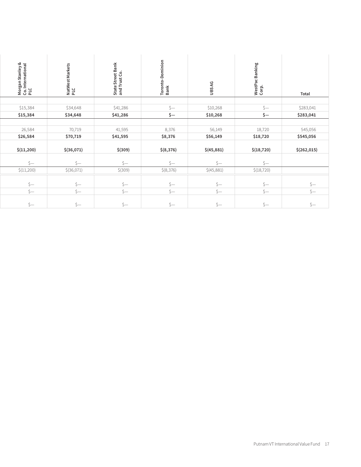| Morgan Stanley &<br>  Co. International<br>  PLC | ىد<br>NatV<br>PLC | Ě<br>State Street Ba<br>and Trust Co. | ೭<br>Toront<br>Bank | $\sqrt{2}$<br>$\mathbf{m}$<br>$\Box$ | <b>b.D</b><br>WestP<br>Corp. | Total        |
|--------------------------------------------------|-------------------|---------------------------------------|---------------------|--------------------------------------|------------------------------|--------------|
|                                                  |                   |                                       |                     |                                      |                              |              |
| \$15,384                                         | \$34,648          | \$41,286                              | $S-$                | \$10,268                             | $S-$                         | \$283,041    |
| \$15,384                                         | \$34,648          | \$41,286                              | $s-$                | \$10,268                             | $$ -$                        | \$283,041    |
|                                                  |                   |                                       |                     |                                      |                              |              |
| 26,584                                           | 70,719            | 41,595                                | 8,376               | 56,149                               | 18,720                       | 545,056      |
| \$26,584                                         | \$70,719          | \$41,595                              | \$8,376             | \$56,149                             | \$18,720                     | \$545,056    |
| \$(11, 200)                                      | \$(36,071)        | \$(309)                               | \$(8,376)           | \$ (45, 881)                         | \$(18, 720)                  | \$(262, 015) |
| $S-$                                             | $S-$              | $\zeta-$                              | $S-$                | $S-$                                 | $S-$                         |              |
| \$(11,200)                                       | \$ (36,071)       | \$(309)                               | \$ (8,376)          | $\frac{1}{2}(45,881)$                | \$(18, 720)                  |              |
|                                                  |                   |                                       |                     |                                      |                              |              |
| $\zeta-$                                         | $S-$              | $\zeta-$                              | $S-$                | $S-$                                 | $S-$                         | $s-$         |
| $\zeta-$                                         | $S-$              | $\zeta-$                              | $S-$                | $s-$                                 | $S-$                         | $S-$         |
| $\zeta-$                                         | $S-$              | $\zeta-$                              | $S-$                | $S-$                                 | $\zeta-$                     | $S-$         |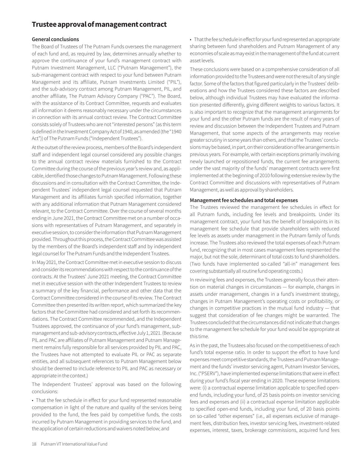# **Trustee approval of management contract**

#### **General conclusions**

The Board of Trustees of The Putnam Funds oversees the management of each fund and, as required by law, determines annually whether to approve the continuance of your fund's management contract with Putnam Investment Management, LLC ("Putnam Management"), the sub-management contract with respect to your fund between Putnam Management and its affiliate, Putnam Investments Limited ("PIL"), and the sub-advisory contract among Putnam Management, PIL, and another affiliate, The Putnam Advisory Company ("PAC"). The Board, with the assistance of its Contract Committee, requests and evaluates all information it deems reasonably necessary under the circumstances in connection with its annual contract review. The Contract Committee consists solely of Trustees who are not "interested persons" (as this term is defined in the Investment Company Act of 1940, as amended (the "1940 Act")) of The Putnam Funds ("Independent Trustees").

At the outset of the review process, members of the Board's independent staff and independent legal counsel considered any possible changes to the annual contract review materials furnished to the Contract Committee during the course of the previous year's review and, as applicable, identified those changes to Putnam Management. Following these discussions and in consultation with the Contract Committee, the Independent Trustees' independent legal counsel requested that Putnam Management and its affiliates furnish specified information, together with any additional information that Putnam Management considered relevant, to the Contract Committee. Over the course of several months ending in June 2021, the Contract Committee met on a number of occasions with representatives of Putnam Management, and separately in executive session, to consider the information that Putnam Management provided. Throughout this process, the Contract Committee was assisted by the members of the Board's independent staff and by independent legal counsel for The Putnam Funds and the Independent Trustees.

In May 2021, the Contract Committee met in executive session to discuss and consider its recommendations with respect to the continuance of the contracts. At the Trustees' June 2021 meeting, the Contract Committee met in executive session with the other Independent Trustees to review a summary of the key financial, performance and other data that the Contract Committee considered in the course of its review. The Contract Committee then presented its written report, which summarized the key factors that the Committee had considered and set forth its recommendations. The Contract Committee recommended, and the Independent Trustees approved, the continuance of your fund's management, submanagement and sub-advisory contracts, effective July 1, 2021. (Because PIL and PAC are affiliates of Putnam Management and Putnam Management remains fully responsible for all services provided by PIL and PAC, the Trustees have not attempted to evaluate PIL or PAC as separate entities, and all subsequent references to Putnam Management below should be deemed to include reference to PIL and PAC as necessary or appropriate in the context.)

The Independent Trustees' approval was based on the following conclusions:

• That the fee schedule in effect for your fund represented reasonable compensation in light of the nature and quality of the services being provided to the fund, the fees paid by competitive funds, the costs incurred by Putnam Management in providing services to the fund, and the application of certain reductions and waivers noted below; and

18 Putnam VT International Value Fund

• That the fee schedule in effect for your fund represented an appropriate sharing between fund shareholders and Putnam Management of any economies of scale as may exist in the management of the fund at current asset levels.

These conclusions were based on a comprehensive consideration of all information provided to the Trustees and were not the result of any single factor. Some of the factors that figured particularly in the Trustees' deliberations and how the Trustees considered these factors are described below, although individual Trustees may have evaluated the information presented differently, giving different weights to various factors. It is also important to recognize that the management arrangements for your fund and the other Putnam funds are the result of many years of review and discussion between the Independent Trustees and Putnam Management, that some aspects of the arrangements may receive greater scrutiny in some years than others, and that the Trustees' conclusions may be based, in part, on their consideration of fee arrangements in previous years. For example, with certain exceptions primarily involving newly launched or repositioned funds, the current fee arrangements under the vast majority of the funds' management contracts were first implemented at the beginning of 2010 following extensive review by the Contract Committee and discussions with representatives of Putnam Management, as well as approval by shareholders.

#### **Management fee schedules and total expenses**

The Trustees reviewed the management fee schedules in effect for all Putnam funds, including fee levels and breakpoints. Under its management contract, your fund has the benefit of breakpoints in its management fee schedule that provide shareholders with reduced fee levels as assets under management in the Putnam family of funds increase. The Trustees also reviewed the total expenses of each Putnam fund, recognizing that in most cases management fees represented the major, but not the sole, determinant of total costs to fund shareholders. (Two funds have implemented so-called "all-in" management fees covering substantially all routine fund operating costs.)

In reviewing fees and expenses, the Trustees generally focus their attention on material changes in circumstances — for example, changes in assets under management, changes in a fund's investment strategy, changes in Putnam Management's operating costs or profitability, or changes in competitive practices in the mutual fund industry — that suggest that consideration of fee changes might be warranted. The Trustees concluded that the circumstances did not indicate that changes to the management fee schedule for your fund would be appropriate at this time.

As in the past, the Trustees also focused on the competitiveness of each fund's total expense ratio. In order to support the effort to have fund expenses meet competitive standards, the Trustees and Putnam Management and the funds' investor servicing agent, Putnam Investor Services, Inc. ("PSERV"), have implemented expense limitations that were in effect during your fund's fiscal year ending in 2020. These expense limitations were: (i) a contractual expense limitation applicable to specified openend funds, including your fund, of 25 basis points on investor servicing fees and expenses and (ii) a contractual expense limitation applicable to specified open-end funds, including your fund, of 20 basis points on so-called "other expenses" (i.e., all expenses exclusive of management fees, distribution fees, investor servicing fees, investment-related expenses, interest, taxes, brokerage commissions, acquired fund fees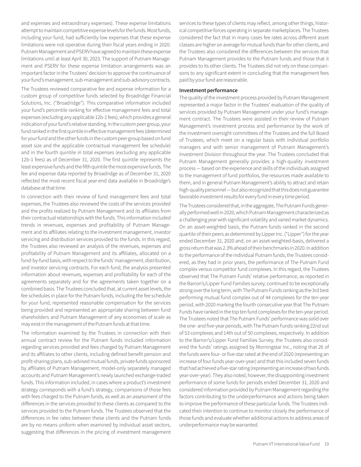and expenses and extraordinary expenses). These expense limitations attempt to maintain competitive expense levels for the funds. Most funds, including your fund, had sufficiently low expenses that these expense limitations were not operative during their fiscal years ending in 2020. Putnam Management and PSERV have agreed to maintain these expense limitations until at least April 30, 2023. The support of Putnam Management and PSERV for these expense limitation arrangements was an important factor in the Trustees' decision to approve the continuance of your fund's management, sub-management and sub-advisory contracts.

The Trustees reviewed comparative fee and expense information for a custom group of competitive funds selected by Broadridge Financial Solutions, Inc. ("Broadridge"). This comparative information included your fund's percentile ranking for effective management fees and total expenses (excluding any applicable 12b-1 fees), which provides a general indication of your fund's relative standing. In the custom peer group, your fund ranked in the first quintile in effective management fees (determined for your fund and the other funds in the custom peer group based on fund asset size and the applicable contractual management fee schedule) and in the fourth quintile in total expenses (excluding any applicable 12b-1 fees) as of December 31, 2020. The first quintile represents the least expensive funds and the fifth quintile the most expensive funds. The fee and expense data reported by Broadridge as of December 31, 2020 reflected the most recent fiscal year-end data available in Broadridge's database at that time.

In connection with their review of fund management fees and total expenses, the Trustees also reviewed the costs of the services provided and the profits realized by Putnam Management and its affiliates from their contractual relationships with the funds. This information included trends in revenues, expenses and profitability of Putnam Management and its affiliates relating to the investment management, investor servicing and distribution services provided to the funds. In this regard, the Trustees also reviewed an analysis of the revenues, expenses and profitability of Putnam Management and its affiliates, allocated on a fund-by-fund basis, with respect to the funds' management, distribution, and investor servicing contracts. For each fund, the analysis presented information about revenues, expenses and profitability for each of the agreements separately and for the agreements taken together on a combined basis. The Trustees concluded that, at current asset levels, the fee schedules in place for the Putnam funds, including the fee schedule for your fund, represented reasonable compensation for the services being provided and represented an appropriate sharing between fund shareholders and Putnam Management of any economies of scale as may exist in the management of the Putnam funds at that time.

The information examined by the Trustees in connection with their annual contract review for the Putnam funds included information regarding services provided and fees charged by Putnam Management and its affiliates to other clients, including defined benefit pension and profit-sharing plans, sub-advised mutual funds, private funds sponsored by affiliates of Putnam Management, model-only separately managed accounts and Putnam Management's newly launched exchange-traded funds. This information included, in cases where a product's investment strategy corresponds with a fund's strategy, comparisons of those fees with fees charged to the Putnam funds, as well as an assessment of the differences in the services provided to these clients as compared to the services provided to the Putnam funds. The Trustees observed that the differences in fee rates between these clients and the Putnam funds are by no means uniform when examined by individual asset sectors, suggesting that differences in the pricing of investment management services to these types of clients may reflect, among other things, historical competitive forces operating in separate marketplaces. The Trustees considered the fact that in many cases fee rates across different asset classes are higher on average for mutual funds than for other clients, and the Trustees also considered the differences between the services that Putnam Management provides to the Putnam funds and those that it provides to its other clients. The Trustees did not rely on these comparisons to any significant extent in concluding that the management fees paid by your fund are reasonable.

#### **Investment performance**

The quality of the investment process provided by Putnam Management represented a major factor in the Trustees' evaluation of the quality of services provided by Putnam Management under your fund's management contract. The Trustees were assisted in their review of Putnam Management's investment process and performance by the work of the investment oversight committees of the Trustees and the full Board of Trustees, which meet on a regular basis with individual portfolio managers and with senior management of Putnam Management's Investment Division throughout the year. The Trustees concluded that Putnam Management generally provides a high-quality investment process — based on the experience and skills of the individuals assigned to the management of fund portfolios, the resources made available to them, and in general Putnam Management's ability to attract and retain high-quality personnel — but also recognized that this does not guarantee favorable investment results for every fund in every time period.

The Trustees considered that, in the aggregate, The Putnam Funds generally performed well in 2020, which Putnam Management characterized as a challenging year with significant volatility and varied market dynamics. On an asset-weighted basis, the Putnam funds ranked in the second quartile of their peers as determined by Lipper Inc. ("Lipper") for the year ended December 31, 2020 and, on an asset-weighted-basis, delivered a gross return that was 2.3% ahead of their benchmarks in 2020. In addition to the performance of the individual Putnam funds, the Trustees considered, as they had in prior years, the performance of The Putnam Fund complex versus competitor fund complexes. In this regard, the Trustees observed that The Putnam Funds' relative performance, as reported in the Barron's/Lipper Fund Families survey, continued to be exceptionally strong over the long term, with The Putnam Funds ranking as the 3rd best performing mutual fund complex out of 44 complexes for the ten-year period, with 2020 marking the fourth consecutive year that The Putnam Funds have ranked in the top ten fund complexes for the ten-year period. The Trustees noted that The Putnam Funds' performance was solid over the one- and five-year periods, with The Putnam Funds ranking 22nd out of 53 complexes and 14th out of 50 complexes, respectively. In addition to the Barron's/Lipper Fund Families Survey, the Trustees also considered the funds' ratings assigned by Morningstar Inc., noting that 26 of the funds were four- or five-star rated at the end of 2020 (representing an increase of four funds year-over-year) and that this included seven funds that had achieved a five-star rating (representing an increase of two funds year-over-year). They also noted, however, the disappointing investment performance of some funds for periods ended December 31, 2020 and considered information provided by Putnam Management regarding the factors contributing to the underperformance and actions being taken to improve the performance of these particular funds. The Trustees indicated their intention to continue to monitor closely the performance of those funds and evaluate whether additional actions to address areas of underperformance may be warranted.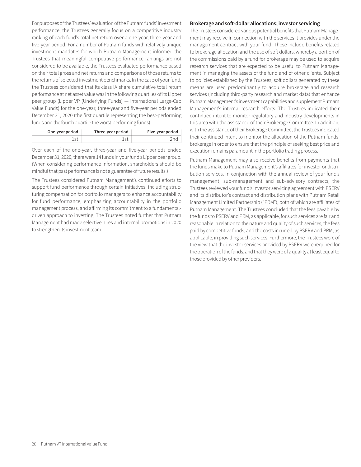For purposes of the Trustees' evaluation of the Putnam funds' investment performance, the Trustees generally focus on a competitive industry ranking of each fund's total net return over a one-year, three-year and five-year period. For a number of Putnam funds with relatively unique investment mandates for which Putnam Management informed the Trustees that meaningful competitive performance rankings are not considered to be available, the Trustees evaluated performance based on their total gross and net returns and comparisons of those returns to the returns of selected investment benchmarks. In the case of your fund, the Trustees considered that its class IA share cumulative total return performance at net asset value was in the following quartiles of its Lipper peer group (Lipper VP (Underlying Funds) — International Large-Cap Value Funds) for the one-year, three-year and five-year periods ended December 31, 2020 (the first quartile representing the best-performing funds and the fourth quartile the worst-performing funds):

| One-year period | Three-year period | Five-year period |
|-----------------|-------------------|------------------|
|                 |                   |                  |

Over each of the one-year, three-year and five-year periods ended December 31, 2020, there were 14 funds in your fund's Lipper peer group. (When considering performance information, shareholders should be mindful that past performance is not a guarantee of future results.)

The Trustees considered Putnam Management's continued efforts to support fund performance through certain initiatives, including structuring compensation for portfolio managers to enhance accountability for fund performance, emphasizing accountability in the portfolio management process, and affirming its commitment to a fundamentaldriven approach to investing. The Trustees noted further that Putnam Management had made selective hires and internal promotions in 2020 to strengthen its investment team.

#### **Brokerage and soft-dollar allocations; investor servicing**

The Trustees considered various potential benefits that Putnam Management may receive in connection with the services it provides under the management contract with your fund. These include benefits related to brokerage allocation and the use of soft dollars, whereby a portion of the commissions paid by a fund for brokerage may be used to acquire research services that are expected to be useful to Putnam Management in managing the assets of the fund and of other clients. Subject to policies established by the Trustees, soft dollars generated by these means are used predominantly to acquire brokerage and research services (including third-party research and market data) that enhance Putnam Management's investment capabilities and supplement Putnam Management's internal research efforts. The Trustees indicated their continued intent to monitor regulatory and industry developments in this area with the assistance of their Brokerage Committee. In addition, with the assistance of their Brokerage Committee, the Trustees indicated their continued intent to monitor the allocation of the Putnam funds' brokerage in order to ensure that the principle of seeking best price and execution remains paramount in the portfolio trading process.

Putnam Management may also receive benefits from payments that the funds make to Putnam Management's affiliates for investor or distribution services. In conjunction with the annual review of your fund's management, sub-management and sub-advisory contracts, the Trustees reviewed your fund's investor servicing agreement with PSERV and its distributor's contract and distribution plans with Putnam Retail Management Limited Partnership ("PRM"), both of which are affiliates of Putnam Management. The Trustees concluded that the fees payable by the funds to PSERV and PRM, as applicable, for such services are fair and reasonable in relation to the nature and quality of such services, the fees paid by competitive funds, and the costs incurred by PSERV and PRM, as applicable, in providing such services. Furthermore, the Trustees were of the view that the investor services provided by PSERV were required for the operation of the funds, and that they were of a quality at least equal to those provided by other providers.